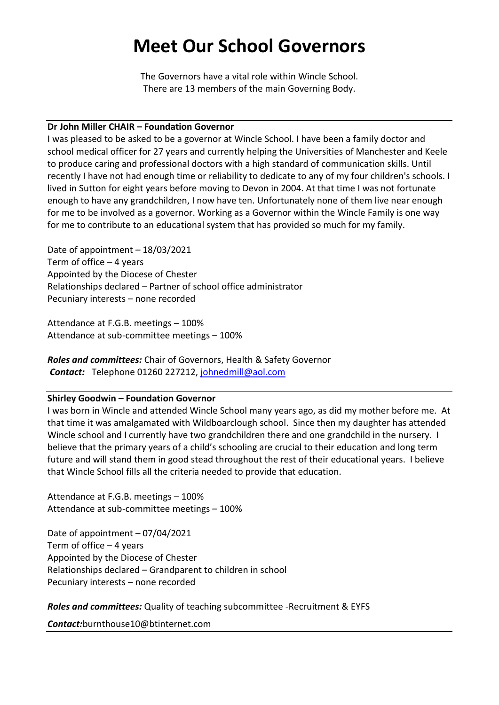# **Meet Our School Governors**

The Governors have a vital role within Wincle School. There are 13 members of the main Governing Body.

#### **Dr John Miller CHAIR – Foundation Governor**

I was pleased to be asked to be a governor at Wincle School. I have been a family doctor and school medical officer for 27 years and currently helping the Universities of Manchester and Keele to produce caring and professional doctors with a high standard of communication skills. Until recently I have not had enough time or reliability to dedicate to any of my four children's schools. I lived in Sutton for eight years before moving to Devon in 2004. At that time I was not fortunate enough to have any grandchildren, I now have ten. Unfortunately none of them live near enough for me to be involved as a governor. Working as a Governor within the Wincle Family is one way for me to contribute to an educational system that has provided so much for my family.

Date of appointment – 18/03/2021 Term of office – 4 years Appointed by the Diocese of Chester Relationships declared – Partner of school office administrator Pecuniary interests – none recorded

Attendance at F.G.B. meetings – 100% Attendance at sub-committee meetings – 100%

*Roles and committees:* Chair of Governors, Health & Safety Governor *Contact:* Telephone 01260 227212, [johnedmill@aol.com](mailto:johnedmill@aol.com)

#### **Shirley Goodwin – Foundation Governor**

I was born in Wincle and attended Wincle School many years ago, as did my mother before me. At that time it was amalgamated with Wildboarclough school. Since then my daughter has attended Wincle school and I currently have two grandchildren there and one grandchild in the nursery. I believe that the primary years of a child's schooling are crucial to their education and long term future and will stand them in good stead throughout the rest of their educational years. I believe that Wincle School fills all the criteria needed to provide that education.

Attendance at F.G.B. meetings – 100% Attendance at sub-committee meetings – 100%

Date of appointment – 07/04/2021 Term of office  $-4$  years Appointed by the Diocese of Chester Relationships declared – Grandparent to children in school Pecuniary interests – none recorded

*Roles and committees:* Quality of teaching subcommittee -Recruitment & EYFS

*Contact:*burnthouse10@btinternet.com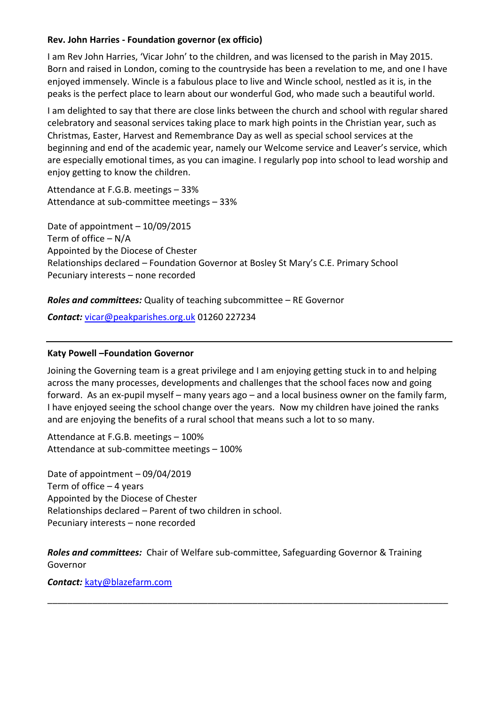# **Rev. John Harries - Foundation governor (ex officio)**

I am Rev John Harries, 'Vicar John' to the children, and was licensed to the parish in May 2015. Born and raised in London, coming to the countryside has been a revelation to me, and one I have enjoyed immensely. Wincle is a fabulous place to live and Wincle school, nestled as it is, in the peaks is the perfect place to learn about our wonderful God, who made such a beautiful world.

I am delighted to say that there are close links between the church and school with regular shared celebratory and seasonal services taking place to mark high points in the Christian year, such as Christmas, Easter, Harvest and Remembrance Day as well as special school services at the beginning and end of the academic year, namely our Welcome service and Leaver's service, which are especially emotional times, as you can imagine. I regularly pop into school to lead worship and enjoy getting to know the children.

Attendance at F.G.B. meetings – 33% Attendance at sub-committee meetings – 33%

Date of appointment – 10/09/2015 Term of office – N/A Appointed by the Diocese of Chester Relationships declared – Foundation Governor at Bosley St Mary's C.E. Primary School Pecuniary interests – none recorded

# *Roles and committees:* Quality of teaching subcommittee – RE Governor

*Contact:* [vicar@peakparishes.org.uk](mailto:vicar@peakparishes.org.uk) 01260 227234

#### **Katy Powell –Foundation Governor**

Joining the Governing team is a great privilege and I am enjoying getting stuck in to and helping across the many processes, developments and challenges that the school faces now and going forward. As an ex-pupil myself – many years ago – and a local business owner on the family farm, I have enjoyed seeing the school change over the years. Now my children have joined the ranks and are enjoying the benefits of a rural school that means such a lot to so many.

Attendance at F.G.B. meetings – 100% Attendance at sub-committee meetings – 100%

Date of appointment – 09/04/2019 Term of office – 4 years Appointed by the Diocese of Chester Relationships declared – Parent of two children in school. Pecuniary interests – none recorded

*Roles and committees:* Chair of Welfare sub-committee, Safeguarding Governor & Training Governor

\_\_\_\_\_\_\_\_\_\_\_\_\_\_\_\_\_\_\_\_\_\_\_\_\_\_\_\_\_\_\_\_\_\_\_\_\_\_\_\_\_\_\_\_\_\_\_\_\_\_\_\_\_\_\_\_\_\_\_\_\_\_\_\_\_\_\_\_\_\_\_\_\_\_\_\_\_\_\_\_

*Contact:* [katy@blazefarm.com](mailto:katy@blazefarm.com)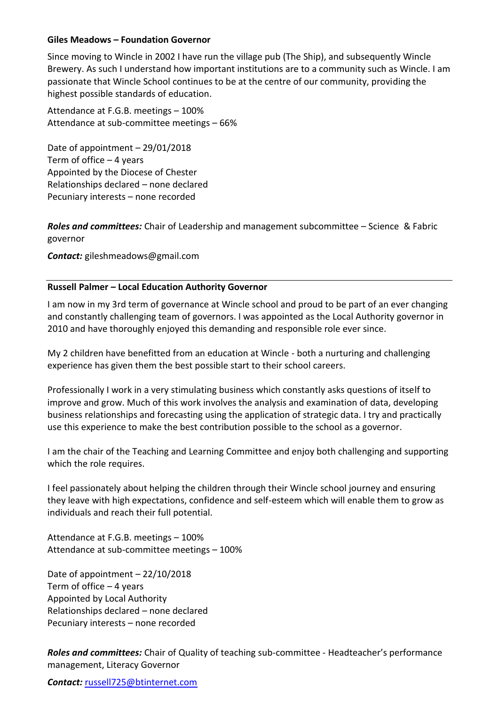#### **Giles Meadows – Foundation Governor**

Since moving to Wincle in 2002 I have run the village pub (The Ship), and subsequently Wincle Brewery. As such I understand how important institutions are to a community such as Wincle. I am passionate that Wincle School continues to be at the centre of our community, providing the highest possible standards of education.

Attendance at F.G.B. meetings – 100% Attendance at sub-committee meetings – 66%

Date of appointment – 29/01/2018 Term of office  $-4$  years Appointed by the Diocese of Chester Relationships declared – none declared Pecuniary interests – none recorded

*Roles and committees:* Chair of Leadership and management subcommittee – Science & Fabric governor

*Contact:* gileshmeadows@gmail.com

#### **Russell Palmer – Local Education Authority Governor**

I am now in my 3rd term of governance at Wincle school and proud to be part of an ever changing and constantly challenging team of governors. I was appointed as the Local Authority governor in 2010 and have thoroughly enjoyed this demanding and responsible role ever since.

My 2 children have benefitted from an education at Wincle - both a nurturing and challenging experience has given them the best possible start to their school careers.

Professionally I work in a very stimulating business which constantly asks questions of itself to improve and grow. Much of this work involves the analysis and examination of data, developing business relationships and forecasting using the application of strategic data. I try and practically use this experience to make the best contribution possible to the school as a governor.

I am the chair of the Teaching and Learning Committee and enjoy both challenging and supporting which the role requires.

I feel passionately about helping the children through their Wincle school journey and ensuring they leave with high expectations, confidence and self-esteem which will enable them to grow as individuals and reach their full potential.

Attendance at F.G.B. meetings – 100% Attendance at sub-committee meetings – 100%

Date of appointment – 22/10/2018 Term of office – 4 years Appointed by Local Authority Relationships declared – none declared Pecuniary interests – none recorded

*Roles and committees:* Chair of Quality of teaching sub-committee - Headteacher's performance management, Literacy Governor

#### *Contact:* [russell725@btinternet.com](mailto:russell725@btinternet.com)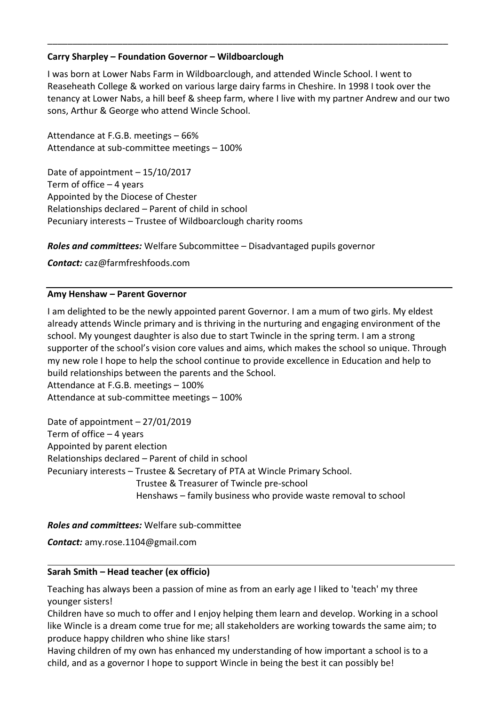#### **Carry Sharpley – Foundation Governor – Wildboarclough**

I was born at Lower Nabs Farm in Wildboarclough, and attended Wincle School. I went to Reaseheath College & worked on various large dairy farms in Cheshire. In 1998 I took over the tenancy at Lower Nabs, a hill beef & sheep farm, where I live with my partner Andrew and our two sons, Arthur & George who attend Wincle School.

\_\_\_\_\_\_\_\_\_\_\_\_\_\_\_\_\_\_\_\_\_\_\_\_\_\_\_\_\_\_\_\_\_\_\_\_\_\_\_\_\_\_\_\_\_\_\_\_\_\_\_\_\_\_\_\_\_\_\_\_\_\_\_\_\_\_\_\_\_\_\_\_\_\_\_\_\_\_\_\_

Attendance at F.G.B. meetings – 66% Attendance at sub-committee meetings – 100%

Date of appointment – 15/10/2017 Term of office – 4 years Appointed by the Diocese of Chester Relationships declared – Parent of child in school Pecuniary interests – Trustee of Wildboarclough charity rooms

*Roles and committees:* Welfare Subcommittee – Disadvantaged pupils governor

*Contact:* caz@farmfreshfoods.com

#### **Amy Henshaw – Parent Governor**

I am delighted to be the newly appointed parent Governor. I am a mum of two girls. My eldest already attends Wincle primary and is thriving in the nurturing and engaging environment of the school. My youngest daughter is also due to start Twincle in the spring term. I am a strong supporter of the school's vision core values and aims, which makes the school so unique. Through my new role I hope to help the school continue to provide excellence in Education and help to build relationships between the parents and the School. Attendance at F.G.B. meetings – 100% Attendance at sub-committee meetings – 100%

Date of appointment – 27/01/2019 Term of office – 4 years Appointed by parent election Relationships declared – Parent of child in school Pecuniary interests – Trustee & Secretary of PTA at Wincle Primary School. Trustee & Treasurer of Twincle pre-school Henshaws – family business who provide waste removal to school

#### *Roles and committees:* Welfare sub-committee

*Contact:* amy.rose.1104@gmail.com

#### **Sarah Smith – Head teacher (ex officio)**

Teaching has always been a passion of mine as from an early age I liked to 'teach' my three younger sisters!

Children have so much to offer and I enjoy helping them learn and develop. Working in a school like Wincle is a dream come true for me; all stakeholders are working towards the same aim; to produce happy children who shine like stars!

Having children of my own has enhanced my understanding of how important a school is to a child, and as a governor I hope to support Wincle in being the best it can possibly be!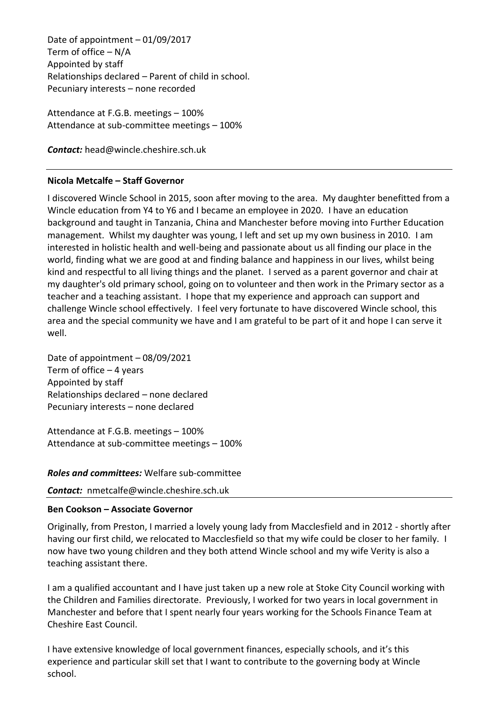Date of appointment – 01/09/2017 Term of office – N/A Appointed by staff Relationships declared – Parent of child in school. Pecuniary interests – none recorded

Attendance at F.G.B. meetings – 100% Attendance at sub-committee meetings – 100%

*Contact:* head@wincle.cheshire.sch.uk

# **Nicola Metcalfe – Staff Governor**

I discovered Wincle School in 2015, soon after moving to the area. My daughter benefitted from a Wincle education from Y4 to Y6 and I became an employee in 2020. I have an education background and taught in Tanzania, China and Manchester before moving into Further Education management. Whilst my daughter was young, I left and set up my own business in 2010. I am interested in holistic health and well-being and passionate about us all finding our place in the world, finding what we are good at and finding balance and happiness in our lives, whilst being kind and respectful to all living things and the planet. I served as a parent governor and chair at my daughter's old primary school, going on to volunteer and then work in the Primary sector as a teacher and a teaching assistant. I hope that my experience and approach can support and challenge Wincle school effectively. I feel very fortunate to have discovered Wincle school, this area and the special community we have and I am grateful to be part of it and hope I can serve it well.

Date of appointment – 08/09/2021 Term of office  $-4$  years Appointed by staff Relationships declared – none declared Pecuniary interests – none declared

Attendance at F.G.B. meetings – 100% Attendance at sub-committee meetings – 100%

*Roles and committees:* Welfare sub-committee

*Contact:* nmetcalfe@wincle.cheshire.sch.uk

# **Ben Cookson – Associate Governor**

Originally, from Preston, I married a lovely young lady from Macclesfield and in 2012 - shortly after having our first child, we relocated to Macclesfield so that my wife could be closer to her family. I now have two young children and they both attend Wincle school and my wife Verity is also a teaching assistant there.

I am a qualified accountant and I have just taken up a new role at Stoke City Council working with the Children and Families directorate. Previously, I worked for two years in local government in Manchester and before that I spent nearly four years working for the Schools Finance Team at Cheshire East Council.

I have extensive knowledge of local government finances, especially schools, and it's this experience and particular skill set that I want to contribute to the governing body at Wincle school.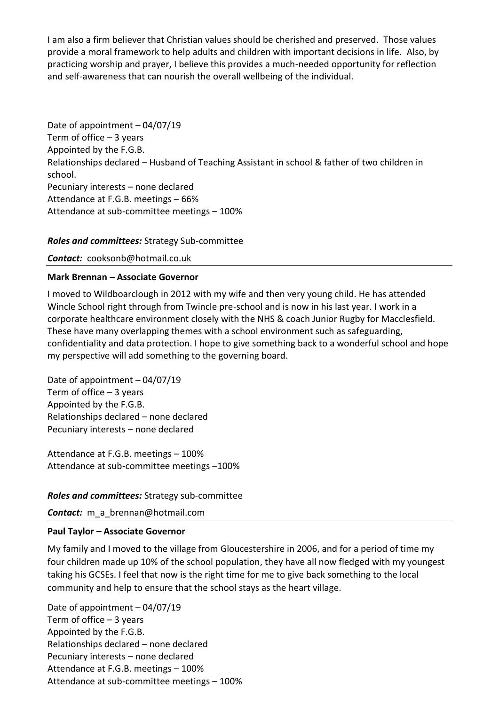I am also a firm believer that Christian values should be cherished and preserved. Those values provide a moral framework to help adults and children with important decisions in life. Also, by practicing worship and prayer, I believe this provides a much-needed opportunity for reflection and self-awareness that can nourish the overall wellbeing of the individual.

Date of appointment – 04/07/19 Term of office  $-3$  years Appointed by the F.G.B. Relationships declared – Husband of Teaching Assistant in school & father of two children in school. Pecuniary interests – none declared Attendance at F.G.B. meetings – 66% Attendance at sub-committee meetings – 100%

#### *Roles and committees:* Strategy Sub-committee

*Contact:* cooksonb@hotmail.co.uk

#### **Mark Brennan – Associate Governor**

I moved to Wildboarclough in 2012 with my wife and then very young child. He has attended Wincle School right through from Twincle pre-school and is now in his last year. I work in a corporate healthcare environment closely with the NHS & coach Junior Rugby for Macclesfield. These have many overlapping themes with a school environment such as safeguarding, confidentiality and data protection. I hope to give something back to a wonderful school and hope my perspective will add something to the governing board.

Date of appointment – 04/07/19 Term of office  $-3$  years Appointed by the F.G.B. Relationships declared – none declared Pecuniary interests – none declared

Attendance at F.G.B. meetings – 100% Attendance at sub-committee meetings –100%

#### *Roles and committees:* Strategy sub-committee

*Contact:* m\_a\_brennan@hotmail.com

#### **Paul Taylor – Associate Governor**

My family and I moved to the village from Gloucestershire in 2006, and for a period of time my four children made up 10% of the school population, they have all now fledged with my youngest taking his GCSEs. I feel that now is the right time for me to give back something to the local community and help to ensure that the school stays as the heart village.

Date of appointment – 04/07/19 Term of office  $-3$  years Appointed by the F.G.B. Relationships declared – none declared Pecuniary interests – none declared Attendance at F.G.B. meetings – 100% Attendance at sub-committee meetings – 100%